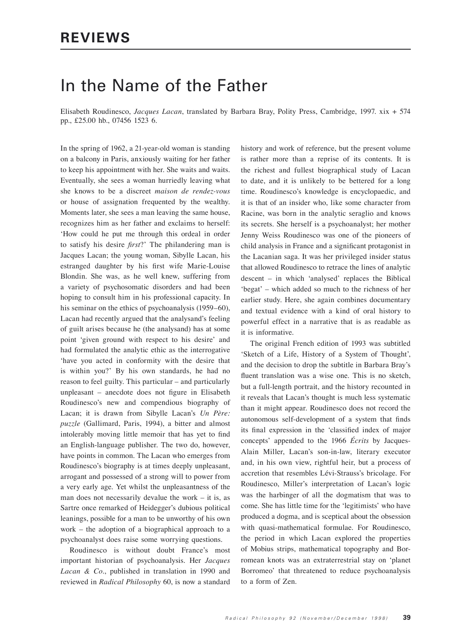## In the Name of the Father

Elisabeth Roudinesco, *Jacques Lacan*, translated by Barbara Bray, Polity Press, Cambridge, 1997. xix + 574 pp., £25.00 hb., 07456 1523 6.

In the spring of 1962, a 21-year-old woman is standing on a balcony in Paris, anxiously waiting for her father to keep his appointment with her. She waits and waits. Eventually, she sees a woman hurriedly leaving what she knows to be a discreet *maison de rendez-vous* or house of assignation frequented by the wealthy. Moments later, she sees a man leaving the same house, recognizes him as her father and exclaims to herself: ʻHow could he put me through this ordeal in order to satisfy his desire *first*?' The philandering man is Jacques Lacan; the young woman, Sibylle Lacan, his estranged daughter by his first wife Marie-Louise Blondin. She was, as he well knew, suffering from a variety of psychosomatic disorders and had been hoping to consult him in his professional capacity. In his seminar on the ethics of psychoanalysis (1959–60), Lacan had recently argued that the analysand's feeling of guilt arises because he (the analysand) has at some point ʻgiven ground with respect to his desire' and had formulated the analytic ethic as the interrogative ʻhave you acted in conformity with the desire that is within you?' By his own standards, he had no reason to feel guilty. This particular – and particularly unpleasant – anecdote does not figure in Elisabeth Roudinesco's new and compendious biography of Lacan; it is drawn from Sibylle Lacan's *Un Père: puzzle* (Gallimard, Paris, 1994), a bitter and almost intolerably moving little memoir that has yet to find an English-language publisher. The two do, however, have points in common. The Lacan who emerges from Roudinesco's biography is at times deeply unpleasant, arrogant and possessed of a strong will to power from a very early age. Yet whilst the unpleasantness of the man does not necessarily devalue the work  $-$  it is, as Sartre once remarked of Heidegger's dubious political leanings, possible for a man to be unworthy of his own work – the adoption of a biographical approach to a psychoanalyst does raise some worrying questions.

Roudinesco is without doubt France's most important historian of psychoanalysis. Her *Jacques Lacan & Co.*, published in translation in 1990 and reviewed in *Radical Philosophy* 60, is now a standard history and work of reference, but the present volume is rather more than a reprise of its contents. It is the richest and fullest biographical study of Lacan to date, and it is unlikely to be bettered for a long time. Roudinesco's knowledge is encyclopaedic, and it is that of an insider who, like some character from Racine, was born in the analytic seraglio and knows its secrets. She herself is a psychoanalyst; her mother Jenny Weiss Roudinesco was one of the pioneers of child analysis in France and a significant protagonist in the Lacanian saga. It was her privileged insider status that allowed Roudinesco to retrace the lines of analytic descent – in which ʻanalysed' replaces the Biblical ʻbegat' – which added so much to the richness of her earlier study. Here, she again combines documentary and textual evidence with a kind of oral history to powerful effect in a narrative that is as readable as it is informative.

The original French edition of 1993 was subtitled ʻSketch of a Life, History of a System of Thought', and the decision to drop the subtitle in Barbara Bray's fluent translation was a wise one. This is no sketch, but a full-length portrait, and the history recounted in it reveals that Lacan's thought is much less systematic than it might appear. Roudinesco does not record the autonomous self-development of a system that finds its final expression in the ʻclassified index of major concepts' appended to the 1966 *Écrits* by Jacques-Alain Miller, Lacan's son-in-law, literary executor and, in his own view, rightful heir, but a process of accretion that resembles Lévi-Strauss's bricolage. For Roudinesco, Miller's interpretation of Lacan's logic was the harbinger of all the dogmatism that was to come. She has little time for the ʻlegitimists' who have produced a dogma, and is sceptical about the obsession with quasi-mathematical formulae. For Roudinesco, the period in which Lacan explored the properties of Mobius strips, mathematical topography and Borromean knots was an extraterrestrial stay on ʻplanet Borromeo' that threatened to reduce psychoanalysis to a form of Zen.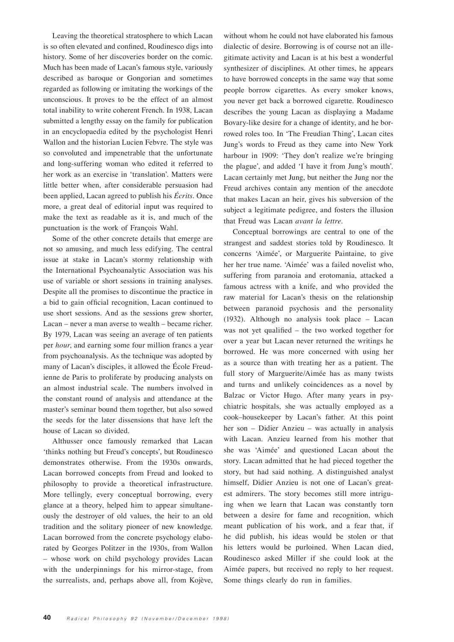Leaving the theoretical stratosphere to which Lacan is so often elevated and confined, Roudinesco digs into history. Some of her discoveries border on the comic. Much has been made of Lacan's famous style, variously described as baroque or Gongorian and sometimes regarded as following or imitating the workings of the unconscious. It proves to be the effect of an almost total inability to write coherent French. In 1938, Lacan submitted a lengthy essay on the family for publication in an encyclopaedia edited by the psychologist Henri Wallon and the historian Lucien Febvre. The style was so convoluted and impenetrable that the unfortunate and long-suffering woman who edited it referred to her work as an exercise in ʻtranslation'. Matters were little better when, after considerable persuasion had been applied, Lacan agreed to publish his *Écrits.* Once more, a great deal of editorial input was required to make the text as readable as it is, and much of the punctuation is the work of François Wahl.

Some of the other concrete details that emerge are not so amusing, and much less edifying. The central issue at stake in Lacan's stormy relationship with the International Psychoanalytic Association was his use of variable or short sessions in training analyses. Despite all the promises to discontinue the practice in a bid to gain official recognition, Lacan continued to use short sessions. And as the sessions grew shorter, Lacan – never a man averse to wealth – became richer. By 1979, Lacan was seeing an average of ten patients per *hour*, and earning some four million francs a year from psychoanalysis. As the technique was adopted by many of Lacan's disciples, it allowed the École Freudienne de Paris to proliferate by producing analysts on an almost industrial scale. The numbers involved in the constant round of analysis and attendance at the master's seminar bound them together, but also sowed the seeds for the later dissensions that have left the house of Lacan so divided.

Althusser once famously remarked that Lacan ʻthinks nothing but Freud's concepts', but Roudinesco demonstrates otherwise. From the 1930s onwards, Lacan borrowed concepts from Freud and looked to philosophy to provide a theoretical infrastructure. More tellingly, every conceptual borrowing, every glance at a theory, helped him to appear simultaneously the destroyer of old values, the heir to an old tradition and the solitary pioneer of new knowledge. Lacan borrowed from the concrete psychology elaborated by Georges Politzer in the 1930s, from Wallon – whose work on child psychology provides Lacan with the underpinnings for his mirror-stage, from the surrealists, and, perhaps above all, from Kojève,

without whom he could not have elaborated his famous dialectic of desire. Borrowing is of course not an illegitimate activity and Lacan is at his best a wonderful synthesizer of disciplines. At other times, he appears to have borrowed concepts in the same way that some people borrow cigarettes. As every smoker knows, you never get back a borrowed cigarette. Roudinesco describes the young Lacan as displaying a Madame Bovary-like desire for a change of identity, and he borrowed roles too. In ʻThe Freudian Thing', Lacan cites Jung's words to Freud as they came into New York harbour in 1909: ʻThey don't realize we're bringing the plague', and added ʻI have it from Jung's mouth'. Lacan certainly met Jung, but neither the Jung nor the Freud archives contain any mention of the anecdote that makes Lacan an heir, gives his subversion of the subject a legitimate pedigree, and fosters the illusion that Freud was Lacan *avant la lettre*.

Conceptual borrowings are central to one of the strangest and saddest stories told by Roudinesco. It concerns ʻAimée', or Marguerite Paintaine, to give her her true name. ʻAimée' was a failed novelist who, suffering from paranoia and erotomania, attacked a famous actress with a knife, and who provided the raw material for Lacan's thesis on the relationship between paranoid psychosis and the personality (1932). Although no analysis took place – Lacan was not yet qualified – the two worked together for over a year but Lacan never returned the writings he borrowed. He was more concerned with using her as a source than with treating her as a patient. The full story of Marguerite/Aimée has as many twists and turns and unlikely coincidences as a novel by Balzac or Victor Hugo. After many years in psychiatric hospitals, she was actually employed as a cook–housekeeper by Lacan's father. At this point her son – Didier Anzieu – was actually in analysis with Lacan. Anzieu learned from his mother that she was ʻAimée' and questioned Lacan about the story. Lacan admitted that he had pieced together the story, but had said nothing. A distinguished analyst himself, Didier Anzieu is not one of Lacan's greatest admirers. The story becomes still more intriguing when we learn that Lacan was constantly torn between a desire for fame and recognition, which meant publication of his work, and a fear that, if he did publish, his ideas would be stolen or that his letters would be purloined. When Lacan died, Roudinesco asked Miller if she could look at the Aimée papers, but received no reply to her request. Some things clearly do run in families.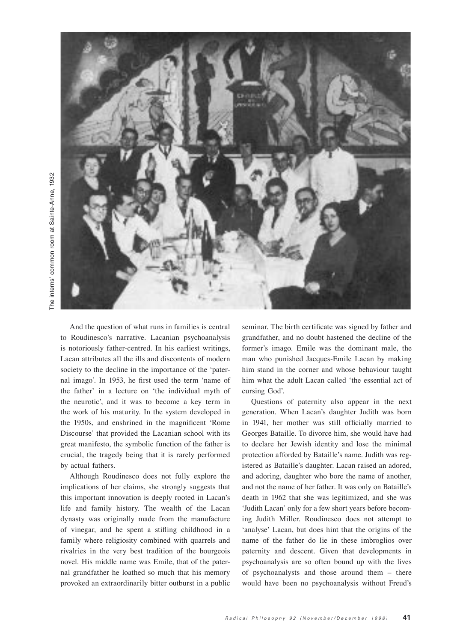



And the question of what runs in families is central to Roudinesco's narrative. Lacanian psychoanalysis is notoriously father-centred. In his earliest writings, Lacan attributes all the ills and discontents of modern society to the decline in the importance of the ʻpaternal imago'. In 1953, he first used the term ʻname of the father' in a lecture on ʻthe individual myth of the neurotic', and it was to become a key term in the work of his maturity. In the system developed in the 1950s, and enshrined in the magnificent ʻRome Discourse' that provided the Lacanian school with its great manifesto, the symbolic function of the father is crucial, the tragedy being that it is rarely performed by actual fathers.

Although Roudinesco does not fully explore the implications of her claims, she strongly suggests that this important innovation is deeply rooted in Lacan's life and family history. The wealth of the Lacan dynasty was originally made from the manufacture of vinegar, and he spent a stifling childhood in a family where religiosity combined with quarrels and rivalries in the very best tradition of the bourgeois novel. His middle name was Emile, that of the paternal grandfather he loathed so much that his memory provoked an extraordinarily bitter outburst in a public seminar. The birth certificate was signed by father and grandfather, and no doubt hastened the decline of the former's imago. Emile was the dominant male, the man who punished Jacques-Emile Lacan by making him stand in the corner and whose behaviour taught him what the adult Lacan called ʻthe essential act of cursing God'.

Questions of paternity also appear in the next generation. When Lacan's daughter Judith was born in 1941, her mother was still officially married to Georges Bataille. To divorce him, she would have had to declare her Jewish identity and lose the minimal protection afforded by Bataille's name. Judith was registered as Bataille's daughter. Lacan raised an adored, and adoring, daughter who bore the name of another, and not the name of her father. It was only on Bataille's death in 1962 that she was legitimized, and she was ʻJudith Lacan' only for a few short years before becoming Judith Miller. Roudinesco does not attempt to ʻanalyse' Lacan, but does hint that the origins of the name of the father do lie in these imbroglios over paternity and descent. Given that developments in psychoanalysis are so often bound up with the lives of psychoanalysts and those around them – there would have been no psychoanalysis without Freud's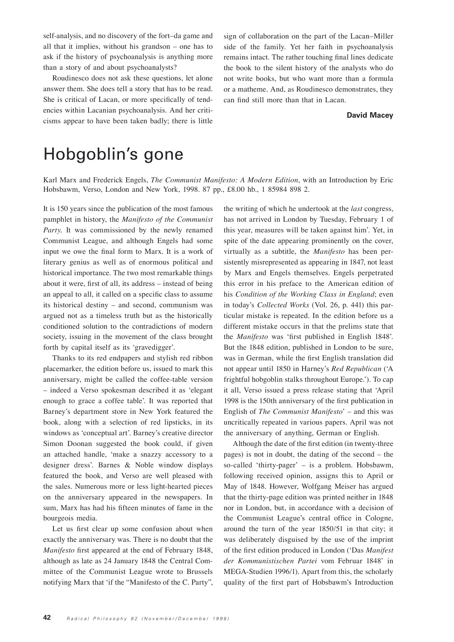self-analysis, and no discovery of the fort–da game and all that it implies, without his grandson – one has to ask if the history of psychoanalysis is anything more than a story of and about psychoanalysts?

Roudinesco does not ask these questions, let alone answer them. She does tell a story that has to be read. She is critical of Lacan, or more specifically of tendencies within Lacanian psychoanalysis. And her criticisms appear to have been taken badly; there is little

sign of collaboration on the part of the Lacan–Miller side of the family. Yet her faith in psychoanalysis remains intact. The rather touching final lines dedicate the book to the silent history of the analysts who do not write books, but who want more than a formula or a matheme. And, as Roudinesco demonstrates, they can find still more than that in Lacan.

#### **David Macey**

# Hobgoblin's gone

Karl Marx and Frederick Engels, *The Communist Manifesto: A Modern Edition*, with an Introduction by Eric Hobsbawm, Verso, London and New York, 1998. 87 pp., £8.00 hb., 1 85984 898 2.

It is 150 years since the publication of the most famous pamphlet in history, the *Manifesto of the Communist Party*. It was commissioned by the newly renamed Communist League, and although Engels had some input we owe the final form to Marx. It is a work of literary genius as well as of enormous political and historical importance. The two most remarkable things about it were, first of all, its address – instead of being an appeal to all, it called on a specific class to assume its historical destiny – and second, communism was argued not as a timeless truth but as the historically conditioned solution to the contradictions of modern society, issuing in the movement of the class brought forth by capital itself as its ʻgravedigger'.

Thanks to its red endpapers and stylish red ribbon placemarker, the edition before us, issued to mark this anniversary, might be called the coffee-table version – indeed a Verso spokesman described it as ʻelegant enough to grace a coffee table'. It was reported that Barney's department store in New York featured the book, along with a selection of red lipsticks, in its windows as ʻconceptual art'. Barney's creative director Simon Doonan suggested the book could, if given an attached handle, ʻmake a snazzy accessory to a designer dress'. Barnes & Noble window displays featured the book, and Verso are well pleased with the sales. Numerous more or less light-hearted pieces on the anniversary appeared in the newspapers. In sum, Marx has had his fifteen minutes of fame in the bourgeois media.

Let us first clear up some confusion about when exactly the anniversary was. There is no doubt that the *Manifesto* first appeared at the end of February 1848, although as late as 24 January 1848 the Central Committee of the Communist League wrote to Brussels notifying Marx that ʻif the "Manifesto of the C. Party",

the writing of which he undertook at the *last* congress, has not arrived in London by Tuesday, February 1 of this year, measures will be taken against him'. Yet, in spite of the date appearing prominently on the cover, virtually as a subtitle, the *Manifesto* has been persistently misrepresented as appearing in 1847, not least by Marx and Engels themselves. Engels perpetrated this error in his preface to the American edition of his *Condition of the Working Class in England*; even in today's *Collected Works* (Vol. 26, p. 441) this particular mistake is repeated. In the edition before us a different mistake occurs in that the prelims state that the *Manifesto* was ʻfirst published in English 1848'. But the 1848 edition, published in London to be sure, was in German, while the first English translation did not appear until 1850 in Harney's *Red Republican* (ʻA frightful hobgoblin stalks throughout Europe.'). To cap it all, Verso issued a press release stating that ʻApril 1998 is the 150th anniversary of the first publication in English of *The Communist Manifesto*' – and this was uncritically repeated in various papers. April was not the anniversary of anything, German or English.

Although the date of the first edition (in twenty-three pages) is not in doubt, the dating of the second – the so-called ʻthirty-pager' – is a problem. Hobsbawm, following received opinion, assigns this to April or May of 1848. However, Wolfgang Meiser has argued that the thirty-page edition was printed neither in 1848 nor in London, but, in accordance with a decision of the Communist League's central office in Cologne, around the turn of the year 1850/51 in that city; it was deliberately disguised by the use of the imprint of the first edition produced in London (ʻDas *Manifest der Kommunistischen Partei* vom Februar 1848' in MEGA-Studien 1996/1). Apart from this, the scholarly quality of the first part of Hobsbawm's Introduction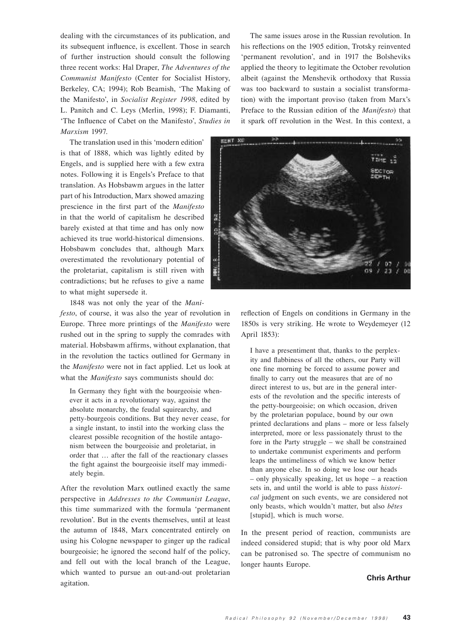dealing with the circumstances of its publication, and its subsequent influence, is excellent. Those in search of further instruction should consult the following three recent works: Hal Draper, *The Adventures of the Communist Manifesto* (Center for Socialist History, Berkeley, CA; 1994); Rob Beamish, ʻThe Making of the Manifesto', in *Socialist Register 1998*, edited by L. Panitch and C. Leys (Merlin, 1998); F. Diamanti, ʻThe Influence of Cabet on the Manifesto', *Studies in Marxism* 1997.

The same issues arose in the Russian revolution. In his reflections on the 1905 edition, Trotsky reinvented ʻpermanent revolution', and in 1917 the Bolsheviks applied the theory to legitimate the October revolution albeit (against the Menshevik orthodoxy that Russia was too backward to sustain a socialist transformation) with the important proviso (taken from Marx's Preface to the Russian edition of the *Manifesto*) that it spark off revolution in the West. In this context, a

The translation used in this ʻmodern edition' is that of 1888, which was lightly edited by Engels, and is supplied here with a few extra notes. Following it is Engels's Preface to that translation. As Hobsbawm argues in the latter part of his Introduction, Marx showed amazing prescience in the first part of the *Manifesto* in that the world of capitalism he described barely existed at that time and has only now achieved its true world-historical dimensions. Hobsbawm concludes that, although Marx overestimated the revolutionary potential of the proletariat, capitalism is still riven with contradictions; but he refuses to give a name to what might supersede it.

1848 was not only the year of the *Mani-*

*festo*, of course, it was also the year of revolution in Europe. Three more printings of the *Manifesto* were rushed out in the spring to supply the comrades with material. Hobsbawm affirms, without explanation, that in the revolution the tactics outlined for Germany in the *Manifesto* were not in fact applied. Let us look at what the *Manifesto* says communists should do:

In Germany they fight with the bourgeoisie whenever it acts in a revolutionary way, against the absolute monarchy, the feudal squirearchy, and petty-bourgeois conditions. But they never cease, for a single instant, to instil into the working class the clearest possible recognition of the hostile antagonism between the bourgeoisie and proletariat, in order that … after the fall of the reactionary classes the fight against the bourgeoisie itself may immediately begin.

After the revolution Marx outlined exactly the same perspective in *Addresses to the Communist League*, this time summarized with the formula ʻpermanent revolution'. But in the events themselves, until at least the autumn of 1848, Marx concentrated entirely on using his Cologne newspaper to ginger up the radical bourgeoisie; he ignored the second half of the policy, and fell out with the local branch of the League, which wanted to pursue an out-and-out proletarian agitation.



reflection of Engels on conditions in Germany in the 1850s is very striking. He wrote to Weydemeyer (12 April 1853):

I have a presentiment that, thanks to the perplexity and flabbiness of all the others, our Party will one fine morning be forced to assume power and finally to carry out the measures that are of no direct interest to us, but are in the general interests of the revolution and the specific interests of the petty-bourgeoisie; on which occasion, driven by the proletarian populace, bound by our own printed declarations and plans – more or less falsely interpreted, more or less passionately thrust to the fore in the Party struggle – we shall be constrained to undertake communist experiments and perform leaps the untimeliness of which we know better than anyone else. In so doing we lose our heads – only physically speaking, let us hope – a reaction sets in, and until the world is able to pass *historical* judgment on such events, we are considered not only beasts, which wouldn't matter, but also *bêtes* [stupid], which is much worse.

In the present period of reaction, communists are indeed considered stupid; that is why poor old Marx can be patronised so. The spectre of communism no longer haunts Europe.

#### **Chris Arthur**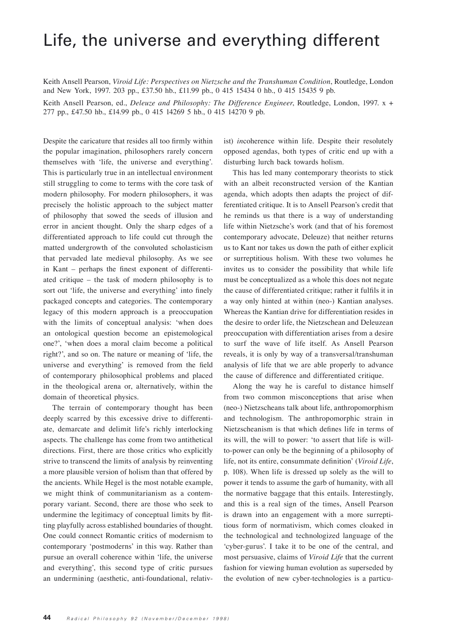# Life, the universe and everything different

Keith Ansell Pearson, *Viroid Life: Perspectives on Nietzsche and the Transhuman Condition*, Routledge, London and New York, 1997. 203 pp., £37.50 hb., £11.99 pb., 0 415 15434 0 hb., 0 415 15435 9 pb.

Keith Ansell Pearson, ed., *Deleuze and Philosophy: The Difference Engineer*, Routledge, London, 1997. x + 277 pp., £47.50 hb., £14.99 pb., 0 415 14269 5 hb., 0 415 14270 9 pb.

Despite the caricature that resides all too firmly within the popular imagination, philosophers rarely concern themselves with ʻlife, the universe and everything'. This is particularly true in an intellectual environment still struggling to come to terms with the core task of modern philosophy. For modern philosophers, it was precisely the holistic approach to the subject matter of philosophy that sowed the seeds of illusion and error in ancient thought. Only the sharp edges of a differentiated approach to life could cut through the matted undergrowth of the convoluted scholasticism that pervaded late medieval philosophy. As we see in Kant – perhaps the finest exponent of differentiated critique – the task of modern philosophy is to sort out ʻlife, the universe and everything' into finely packaged concepts and categories. The contemporary legacy of this modern approach is a preoccupation with the limits of conceptual analysis: ʻwhen does an ontological question become an epistemological one?', ʻwhen does a moral claim become a political right?', and so on. The nature or meaning of ʻlife, the universe and everything' is removed from the field of contemporary philosophical problems and placed in the theological arena or, alternatively, within the domain of theoretical physics.

The terrain of contemporary thought has been deeply scarred by this excessive drive to differentiate, demarcate and delimit life's richly interlocking aspects. The challenge has come from two antithetical directions. First, there are those critics who explicitly strive to transcend the limits of analysis by reinventing a more plausible version of holism than that offered by the ancients. While Hegel is the most notable example, we might think of communitarianism as a contemporary variant. Second, there are those who seek to undermine the legitimacy of conceptual limits by flitting playfully across established boundaries of thought. One could connect Romantic critics of modernism to contemporary ʻpostmoderns' in this way. Rather than pursue an overall coherence within ʻlife, the universe and everything', this second type of critic pursues an undermining (aesthetic, anti-foundational, relativ-

ist) *in*coherence within life. Despite their resolutely opposed agendas, both types of critic end up with a disturbing lurch back towards holism.

This has led many contemporary theorists to stick with an albeit reconstructed version of the Kantian agenda, which adopts then adapts the project of differentiated critique. It is to Ansell Pearson's credit that he reminds us that there is a way of understanding life within Nietzsche's work (and that of his foremost contemporary advocate, Deleuze) that neither returns us to Kant nor takes us down the path of either explicit or surreptitious holism. With these two volumes he invites us to consider the possibility that while life must be conceptualized as a whole this does not negate the cause of differentiated critique; rather it fulfils it in a way only hinted at within (neo-) Kantian analyses. Whereas the Kantian drive for differentiation resides in the desire to order life, the Nietzschean and Deleuzean preoccupation with differentiation arises from a desire to surf the wave of life itself. As Ansell Pearson reveals, it is only by way of a transversal/transhuman analysis of life that we are able properly to advance the cause of difference and differentiated critique.

Along the way he is careful to distance himself from two common misconceptions that arise when (neo-) Nietzscheans talk about life, anthropomorphism and technologism. The anthropomorphic strain in Nietzscheanism is that which defines life in terms of its will, the will to power: ʻto assert that life is willto-power can only be the beginning of a philosophy of life, not its entire, consummate definition' (*Viroid Life*, p. 108). When life is dressed up solely as the will to power it tends to assume the garb of humanity, with all the normative baggage that this entails. Interestingly, and this is a real sign of the times, Ansell Pearson is drawn into an engagement with a more surreptitious form of normativism, which comes cloaked in the technological and technologized language of the ʻcyber-gurus'. I take it to be one of the central, and most persuasive, claims of *Viroid Life* that the current fashion for viewing human evolution as superseded by the evolution of new cyber-technologies is a particu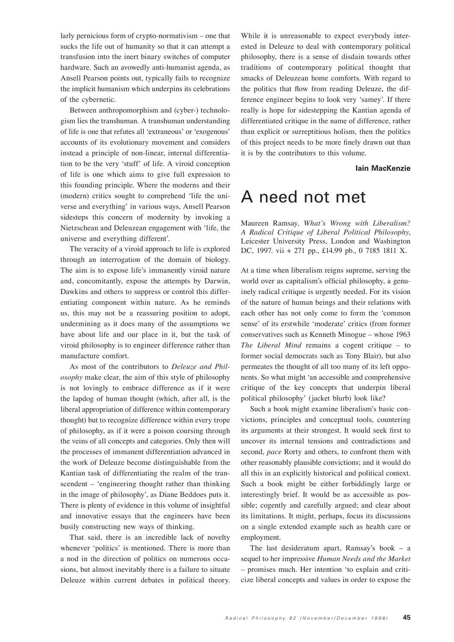larly pernicious form of crypto-normativism – one that sucks the life out of humanity so that it can attempt a transfusion into the inert binary switches of computer hardware. Such an avowedly anti-humanist agenda, as Ansell Pearson points out, typically fails to recognize the implicit humanism which underpins its celebrations of the cybernetic.

Between anthropomorphism and (cyber-) technologism lies the transhuman. A transhuman understanding of life is one that refutes all ʻextraneous' or ʻexogenous' accounts of its evolutionary movement and considers instead a principle of non-linear, internal differentiation to be the very ʻstuff' of life. A viroid conception of life is one which aims to give full expression to this founding principle. Where the moderns and their (modern) critics sought to comprehend ʻlife the universe and everything' in various ways, Ansell Pearson sidesteps this concern of modernity by invoking a Nietzschean and Deleuzean engagement with ʻlife, the universe and everything different'.

The veracity of a viroid approach to life is explored through an interrogation of the domain of biology. The aim is to expose life's immanently viroid nature and, concomitantly, expose the attempts by Darwin, Dawkins and others to suppress or control this differentiating component within nature. As he reminds us, this may not be a reassuring position to adopt, undermining as it does many of the assumptions we have about life and our place in it, but the task of viroid philosophy is to engineer difference rather than manufacture comfort.

As most of the contributors to *Deleuze and Philosophy* make clear, the aim of this style of philosophy is not lovingly to embrace difference as if it were the lapdog of human thought (which, after all, is the liberal appropriation of difference within contemporary thought) but to recognize difference within every trope of philosophy, as if it were a poison coursing through the veins of all concepts and categories. Only then will the processes of immanent differentiation advanced in the work of Deleuze become distinguishable from the Kantian task of differentiating the realm of the transcendent – ʻengineering thought rather than thinking in the image of philosophy', as Diane Beddoes puts it. There is plenty of evidence in this volume of insightful and innovative essays that the engineers have been busily constructing new ways of thinking.

That said, there is an incredible lack of novelty whenever ʻpolitics' is mentioned. There is more than a nod in the direction of politics on numerous occasions, but almost inevitably there is a failure to situate Deleuze within current debates in political theory.

While it is unreasonable to expect everybody interested in Deleuze to deal with contemporary political philosophy, there is a sense of disdain towards other traditions of contemporary political thought that smacks of Deleuzean home comforts. With regard to the politics that flow from reading Deleuze, the difference engineer begins to look very ʻsamey'. If there really is hope for sidestepping the Kantian agenda of differentiated critique in the name of difference, rather than explicit or surreptitious holism, then the politics of this project needs to be more finely drawn out than it is by the contributors to this volume.

**Iain MacKenzie**

### A need not met

Maureen Ramsay, *What's Wrong with Liberalism? A Radical Critique of Liberal Political Philosophy*, Leicester University Press, London and Washington DC, 1997. vii + 271 pp., £14.99 pb., 0 7185 1811 X.

At a time when liberalism reigns supreme, serving the world over as capitalism's official philosophy, a genuinely radical critique is urgently needed. For its vision of the nature of human beings and their relations with each other has not only come to form the ʻcommon sense' of its erstwhile ʻmoderate' critics (from former conservatives such as Kenneth Minogue – whose 1963 *The Liberal Mind* remains a cogent critique – to former social democrats such as Tony Blair), but also permeates the thought of all too many of its left opponents. So what might ʻan accessible and comprehensive critique of the key concepts that underpin liberal political philosophy' (jacket blurb) look like?

Such a book might examine liberalism's basic convictions, principles and conceptual tools, countering its arguments at their strongest. It would seek first to uncover its internal tensions and contradictions and second, *pace* Rorty and others, to confront them with other reasonably plausible convictions; and it would do all this in an explicitly historical and political context. Such a book might be either forbiddingly large or interestingly brief. It would be as accessible as possible; cogently and carefully argued; and clear about its limitations. It might, perhaps, focus its discussions on a single extended example such as health care or employment.

The last desideratum apart, Ramsay's book – a sequel to her impressive *Human Needs and the Market* – promises much. Her intention ʻto explain and criticize liberal concepts and values in order to expose the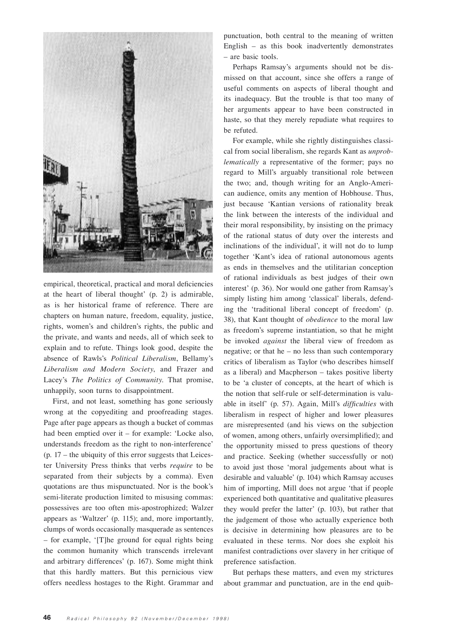

empirical, theoretical, practical and moral deficiencies at the heart of liberal thought' (p. 2) is admirable, as is her historical frame of reference. There are chapters on human nature, freedom, equality, justice, rights, women's and children's rights, the public and the private, and wants and needs, all of which seek to explain and to refute. Things look good, despite the absence of Rawls's *Political Liberalism*, Bellamy's *Liberalism and Modern Society*, and Frazer and Lacey's *The Politics of Community*. That promise, unhappily, soon turns to disappointment.

First, and not least, something has gone seriously wrong at the copyediting and proofreading stages. Page after page appears as though a bucket of commas had been emptied over it – for example: ʻLocke also, understands freedom as the right to non-interference' (p. 17 – the ubiquity of this error suggests that Leicester University Press thinks that verbs *require* to be separated from their subjects by a comma). Even quotations are thus mispunctuated. Nor is the book's semi-literate production limited to misusing commas: possessives are too often mis-apostrophized; Walzer appears as ʻWaltzer' (p. 115); and, more importantly, clumps of words occasionally masquerade as sentences – for example, ʻ[T]he ground for equal rights being the common humanity which transcends irrelevant and arbitrary differences' (p. 167). Some might think that this hardly matters. But this pernicious view offers needless hostages to the Right. Grammar and

punctuation, both central to the meaning of written English – as this book inadvertently demonstrates – are basic tools.

Perhaps Ramsay's arguments should not be dismissed on that account, since she offers a range of useful comments on aspects of liberal thought and its inadequacy. But the trouble is that too many of her arguments appear to have been constructed in haste, so that they merely repudiate what requires to be refuted.

For example, while she rightly distinguishes classical from social liberalism, she regards Kant as *unproblematically* a representative of the former; pays no regard to Mill's arguably transitional role between the two; and, though writing for an Anglo-American audience, omits any mention of Hobhouse. Thus, just because ʻKantian versions of rationality break the link between the interests of the individual and their moral responsibility, by insisting on the primacy of the rational status of duty over the interests and inclinations of the individual', it will not do to lump together ʻKant's idea of rational autonomous agents as ends in themselves and the utilitarian conception of rational individuals as best judges of their own interest' (p. 36). Nor would one gather from Ramsay's simply listing him among ʻclassical' liberals, defending the ʻtraditional liberal concept of freedom' (p. 38), that Kant thought of *obedience* to the moral law as freedom's supreme instantiation, so that he might be invoked *against* the liberal view of freedom as negative; or that he – no less than such contemporary critics of liberalism as Taylor (who describes himself as a liberal) and Macpherson – takes positive liberty to be ʻa cluster of concepts, at the heart of which is the notion that self-rule or self-determination is valuable in itself' (p. 57). Again, Mill's *difficulties* with liberalism in respect of higher and lower pleasures are misrepresented (and his views on the subjection of women, among others, unfairly oversimplified); and the opportunity missed to press questions of theory and practice. Seeking (whether successfully or not) to avoid just those ʻmoral judgements about what is desirable and valuable' (p. 104) which Ramsay accuses him of importing, Mill does not argue ʻthat if people experienced both quantitative and qualitative pleasures they would prefer the latter' (p. 103), but rather that the judgement of those who actually experience both is decisive in determining how pleasures are to be evaluated in these terms. Nor does she exploit his manifest contradictions over slavery in her critique of preference satisfaction.

But perhaps these matters, and even my strictures about grammar and punctuation, are in the end quib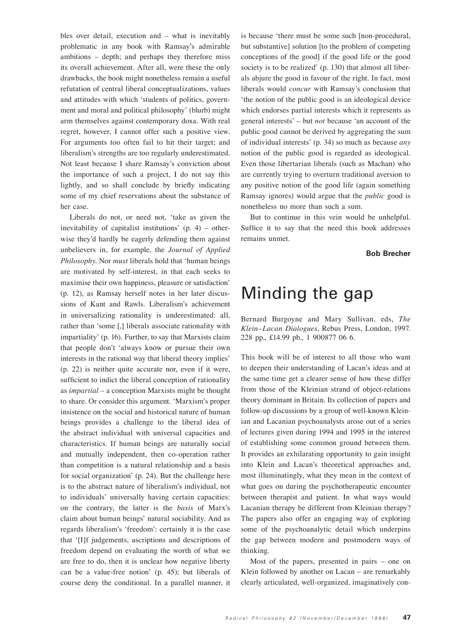bles over detail, execution and – what is inevitably problematic in any book with Ramsay's admirable ambitions – depth; and perhaps they therefore miss its overall achievement. After all, were these the only drawbacks, the book might nonetheless remain a useful refutation of central liberal conceptualizations, values and attitudes with which ʻstudents of politics, government and moral and political philosophy' (blurb) might arm themselves against contemporary doxa. With real regret, however, I cannot offer such a positive view. For arguments too often fail to hit their target; and liberalism's strengths are too regularly underestimated. Not least because I share Ramsay's conviction about the importance of such a project, I do not say this lightly, and so shall conclude by briefly indicating some of my chief reservations about the substance of her case.

Liberals do not, or need not, ʻtake as given the inevitability of capitalist institutions' (p. 4) – otherwise they'd hardly be eagerly defending them against unbelievers in, for example, the *Journal of Applied Philosophy*. Nor *must* liberals hold that ʻhuman beings are motivated by self-interest, in that each seeks to maximise their own happiness, pleasure or satisfaction' (p. 12), as Ramsay herself notes in her later discussions of Kant and Rawls. Liberalism's achievement in universalizing rationality is underestimated: all, rather than ʻsome [,] liberals associate rationality with impartiality' (p. 16). Further, to say that Marxists claim that people don't ʻalways know or pursue their own interests in the rational way that liberal theory implies' (p. 22) is neither quite accurate nor, even if it were, sufficient to indict the liberal conception of rationality as *impartial* – a conception Marxists might be thought to share. Or consider this argument. ʻMarxism's proper insistence on the social and historical nature of human beings provides a challenge to the liberal idea of the abstract individual with universal capacities and characteristics. If human beings are naturally social and mutually independent, then co-operation rather than competition is a natural relationship and a basis for social organization' (p. 24). But the challenge here is to the abstract nature of liberalism's individual, not to individuals' universally having certain capacities: on the contrary, the latter is the *basis* of Marx's claim about human beings' natural sociability. And as regards liberalism's ʻfreedom': certainly it is the case that ʻ[I]f judgements, ascriptions and descriptions of freedom depend on evaluating the worth of what we are free to do, then it is unclear how negative liberty can be a value-free notion' (p. 45); but liberals of course deny the conditional. In a parallel manner, it is because ʻthere must be some such [non-procedural, but substantive] solution [to the problem of competing conceptions of the good] if the good life or the good society is to be realized' (p. 130) that almost all liberals abjure the good in favour of the right. In fact, most liberals would *concur* with Ramsay's conclusion that ʻthe notion of the public good is an ideological device which endorses partial interests which it represents as general interests' – but *not* because ʻan account of the public good cannot be derived by aggregating the sum of individual interests' (p. 34) so much as because *any* notion of the public good is regarded as ideological. Even those libertarian liberals (such as Machan) who are currently trying to overturn traditional aversion to any positive notion of the good life (again something Ramsay ignores) would argue that the *public* good is nonetheless no more than such a sum.

But to continue in this vein would be unhelpful. Suffice it to say that the need this book addresses remains unmet.

**Bob Brecher**

# Minding the gap

Bernard Burgoyne and Mary Sullivan, eds, *The Klein–Lacan Dialogues*, Rebus Press, London, 1997. 228 pp., £14.99 pb., 1 900877 06 6.

This book will be of interest to all those who want to deepen their understanding of Lacan's ideas and at the same time get a clearer sense of how these differ from those of the Kleinian strand of object-relations theory dominant in Britain. Its collection of papers and follow-up discussions by a group of well-known Kleinian and Lacanian psychoanalysts arose out of a series of lectures given during 1994 and 1995 in the interest of establishing some common ground between them. It provides an exhilarating opportunity to gain insight into Klein and Lacan's theoretical approaches and, most illuminatingly, what they mean in the context of what goes on during the psychotherapeutic encounter between therapist and patient. In what ways would Lacanian therapy be different from Kleinian therapy? The papers also offer an engaging way of exploring some of the psychoanalytic detail which underpins the gap between modern and postmodern ways of thinking.

Most of the papers, presented in pairs – one on Klein followed by another on Lacan – are remarkably clearly articulated, well-organized, imaginatively con-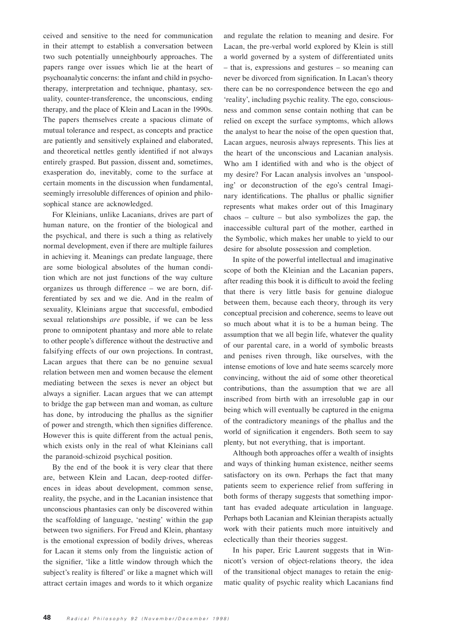ceived and sensitive to the need for communication in their attempt to establish a conversation between two such potentially unneighbourly approaches. The papers range over issues which lie at the heart of psychoanalytic concerns: the infant and child in psychotherapy, interpretation and technique, phantasy, sexuality, counter-transference, the unconscious, ending therapy, and the place of Klein and Lacan in the 1990s. The papers themselves create a spacious climate of mutual tolerance and respect, as concepts and practice are patiently and sensitively explained and elaborated, and theoretical nettles gently identified if not always entirely grasped. But passion, dissent and, sometimes, exasperation do, inevitably, come to the surface at certain moments in the discussion when fundamental, seemingly irresoluble differences of opinion and philosophical stance are acknowledged.

For Kleinians, unlike Lacanians, drives are part of human nature, on the frontier of the biological and the psychical, and there is such a thing as relatively normal development, even if there are multiple failures in achieving it. Meanings can predate language, there are some biological absolutes of the human condition which are not just functions of the way culture organizes us through difference – we are born, differentiated by sex and we die. And in the realm of sexuality, Kleinians argue that successful, embodied sexual relationships *are* possible, if we can be less prone to omnipotent phantasy and more able to relate to other people's difference without the destructive and falsifying effects of our own projections. In contrast, Lacan argues that there can be no genuine sexual relation between men and women because the element mediating between the sexes is never an object but always a signifier. Lacan argues that we can attempt to bridge the gap between man and woman, as culture has done, by introducing the phallus as the signifier of power and strength, which then signifies difference. However this is quite different from the actual penis, which exists only in the real of what Kleinians call the paranoid-schizoid psychical position.

By the end of the book it is very clear that there are, between Klein and Lacan, deep-rooted differences in ideas about development, common sense, reality, the psyche, and in the Lacanian insistence that unconscious phantasies can only be discovered within the scaffolding of language, ʻnesting' within the gap between two signifiers. For Freud and Klein, phantasy is the emotional expression of bodily drives, whereas for Lacan it stems only from the linguistic action of the signifier, ʻlike a little window through which the subject's reality is filtered' or like a magnet which will attract certain images and words to it which organize

and regulate the relation to meaning and desire. For Lacan, the pre-verbal world explored by Klein is still a world governed by a system of differentiated units – that is, expressions and gestures – so meaning can never be divorced from signification. In Lacan's theory there can be no correspondence between the ego and ʻreality', including psychic reality. The ego, consciousness and common sense contain nothing that can be relied on except the surface symptoms, which allows the analyst to hear the noise of the open question that, Lacan argues, neurosis always represents. This lies at the heart of the unconscious and Lacanian analysis. Who am I identified with and who is the object of my desire? For Lacan analysis involves an ʻunspooling' or deconstruction of the ego's central Imaginary identifications. The phallus or phallic signifier represents what makes order out of this Imaginary chaos – culture – but also symbolizes the gap, the inaccessible cultural part of the mother, earthed in the Symbolic, which makes her unable to yield to our desire for absolute possession and completion.

In spite of the powerful intellectual and imaginative scope of both the Kleinian and the Lacanian papers, after reading this book it is difficult to avoid the feeling that there is very little basis for genuine dialogue between them, because each theory, through its very conceptual precision and coherence, seems to leave out so much about what it is to be a human being. The assumption that we all begin life, whatever the quality of our parental care, in a world of symbolic breasts and penises riven through, like ourselves, with the intense emotions of love and hate seems scarcely more convincing, without the aid of some other theoretical contributions, than the assumption that we are all inscribed from birth with an irresoluble gap in our being which will eventually be captured in the enigma of the contradictory meanings of the phallus and the world of signification it engenders. Both seem to say plenty, but not everything, that is important.

Although both approaches offer a wealth of insights and ways of thinking human existence, neither seems satisfactory on its own. Perhaps the fact that many patients seem to experience relief from suffering in both forms of therapy suggests that something important has evaded adequate articulation in language. Perhaps both Lacanian and Kleinian therapists actually work with their patients much more intuitively and eclectically than their theories suggest.

In his paper, Eric Laurent suggests that in Winnicott's version of object-relations theory, the idea of the transitional object manages to retain the enigmatic quality of psychic reality which Lacanians find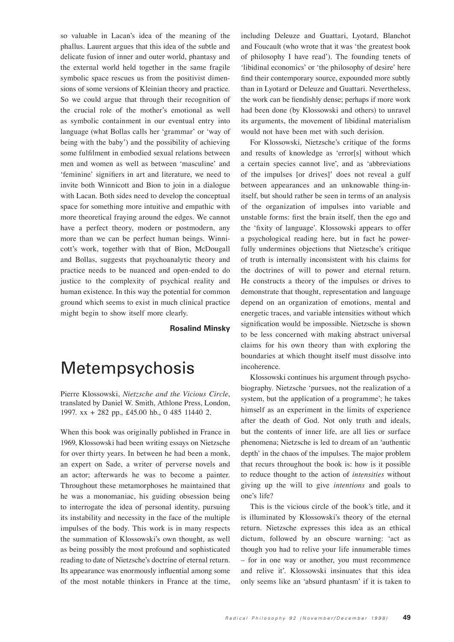so valuable in Lacan's idea of the meaning of the phallus. Laurent argues that this idea of the subtle and delicate fusion of inner and outer world, phantasy and the external world held together in the same fragile symbolic space rescues us from the positivist dimensions of some versions of Kleinian theory and practice. So we could argue that through their recognition of the crucial role of the mother's emotional as well as symbolic containment in our eventual entry into language (what Bollas calls her ʻgrammar' or ʻway of being with the baby') and the possibility of achieving some fulfilment in embodied sexual relations between men and women as well as between ʻmasculine' and ʻfeminine' signifiers in art and literature, we need to invite both Winnicott and Bion to join in a dialogue with Lacan. Both sides need to develop the conceptual space for something more intuitive and empathic with more theoretical fraying around the edges. We cannot have a perfect theory, modern or postmodern, any more than we can be perfect human beings. Winnicott's work, together with that of Bion, McDougall and Bollas, suggests that psychoanalytic theory and practice needs to be nuanced and open-ended to do justice to the complexity of psychical reality and human existence. In this way the potential for common ground which seems to exist in much clinical practice might begin to show itself more clearly.

#### **Rosalind Minsky**

### Metempsychosis

Pierre Klossowski, *Nietzsche and the Vicious Circle*, translated by Daniel W. Smith, Athlone Press, London, 1997. xx + 282 pp., £45.00 hb., 0 485 11440 2.

When this book was originally published in France in 1969, Klossowski had been writing essays on Nietzsche for over thirty years. In between he had been a monk, an expert on Sade, a writer of perverse novels and an actor; afterwards he was to become a painter. Throughout these metamorphoses he maintained that he was a monomaniac, his guiding obsession being to interrogate the idea of personal identity, pursuing its instability and necessity in the face of the multiple impulses of the body. This work is in many respects the summation of Klossowski's own thought, as well as being possibly the most profound and sophisticated reading to date of Nietzsche's doctrine of eternal return. Its appearance was enormously influential among some of the most notable thinkers in France at the time,

including Deleuze and Guattari, Lyotard, Blanchot and Foucault (who wrote that it was ʻthe greatest book of philosophy I have read'). The founding tenets of ʻlibidinal economics' or ʻthe philosophy of desire' here find their contemporary source, expounded more subtly than in Lyotard or Deleuze and Guattari. Nevertheless, the work can be fiendishly dense; perhaps if more work had been done (by Klossowski and others) to unravel its arguments, the movement of libidinal materialism would not have been met with such derision.

For Klossowski, Nietzsche's critique of the forms and results of knowledge as ʻerror[s] without which a certain species cannot live', and as ʻabbreviations of the impulses [or drives]' does not reveal a gulf between appearances and an unknowable thing-initself, but should rather be seen in terms of an analysis of the organization of impulses into variable and unstable forms: first the brain itself, then the ego and the ʻfixity of language'. Klossowski appears to offer a psychological reading here, but in fact he powerfully undermines objections that Nietzsche's critique of truth is internally inconsistent with his claims for the doctrines of will to power and eternal return. He constructs a theory of the impulses or drives to demonstrate that thought, representation and language depend on an organization of emotions, mental and energetic traces, and variable intensities without which signification would be impossible. Nietzsche is shown to be less concerned with making abstract universal claims for his own theory than with exploring the boundaries at which thought itself must dissolve into incoherence.

Klossowski continues his argument through psychobiography. Nietzsche ʻpursues, not the realization of a system, but the application of a programme'; he takes himself as an experiment in the limits of experience after the death of God. Not only truth and ideals, but the contents of inner life, are all lies or surface phenomena; Nietzsche is led to dream of an ʻauthentic depth' in the chaos of the impulses. The major problem that recurs throughout the book is: how is it possible to reduce thought to the action of *intensities* without giving up the will to give *intentions* and goals to one's life?

This is the vicious circle of the book's title, and it is illuminated by Klossowski's theory of the eternal return. Nietzsche expresses this idea as an ethical dictum, followed by an obscure warning: ʻact as though you had to relive your life innumerable times – for in one way or another, you must recommence and relive it'. Klossowski insinuates that this idea only seems like an ʻabsurd phantasm' if it is taken to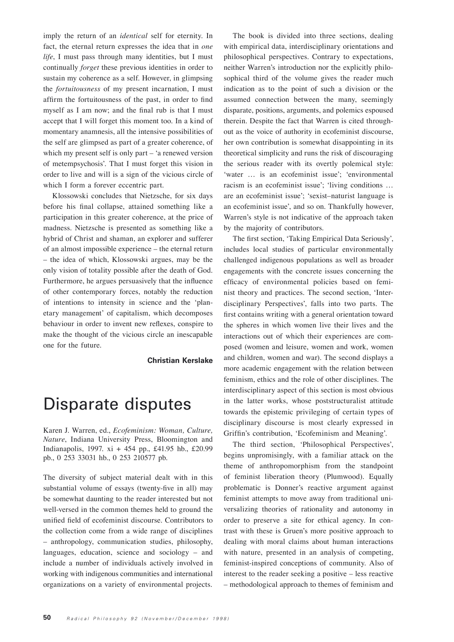imply the return of an *identical* self for eternity. In fact, the eternal return expresses the idea that in *one life*, I must pass through many identities, but I must continually *forget* these previous identities in order to sustain my coherence as a self. However, in glimpsing the *fortuitousness* of my present incarnation, I must affirm the fortuitousness of the past, in order to find myself as I am now; and the final rub is that I must accept that I will forget this moment too. In a kind of momentary anamnesis, all the intensive possibilities of the self are glimpsed as part of a greater coherence, of which my present self is only part – ʻa renewed version of metempsychosis'. That I must forget this vision in order to live and will is a sign of the vicious circle of which I form a forever eccentric part.

Klossowski concludes that Nietzsche, for six days before his final collapse, attained something like a participation in this greater coherence, at the price of madness. Nietzsche is presented as something like a hybrid of Christ and shaman, an explorer and sufferer of an almost impossible experience – the eternal return – the idea of which, Klossowski argues, may be the only vision of totality possible after the death of God. Furthermore, he argues persuasively that the influence of other contemporary forces, notably the reduction of intentions to intensity in science and the ʻplanetary management' of capitalism, which decomposes behaviour in order to invent new reflexes, conspire to make the thought of the vicious circle an inescapable one for the future.

**Christian Kerslake**

## Disparate disputes

Karen J. Warren, ed., *Ecofeminism: Woman, Culture, Nature*, Indiana University Press, Bloomington and Indianapolis, 1997. xi + 454 pp., £41.95 hb., £20.99 pb., 0 253 33031 hb., 0 253 210577 pb.

The diversity of subject material dealt with in this substantial volume of essays (twenty-five in all) may be somewhat daunting to the reader interested but not well-versed in the common themes held to ground the unified field of ecofeminist discourse. Contributors to the collection come from a wide range of disciplines – anthropology, communication studies, philosophy, languages, education, science and sociology – and include a number of individuals actively involved in working with indigenous communities and international organizations on a variety of environmental projects.

The book is divided into three sections, dealing with empirical data, interdisciplinary orientations and philosophical perspectives. Contrary to expectations, neither Warren's introduction nor the explicitly philosophical third of the volume gives the reader much indication as to the point of such a division or the assumed connection between the many, seemingly disparate, positions, arguments, and polemics espoused therein. Despite the fact that Warren is cited throughout as the voice of authority in ecofeminist discourse, her own contribution is somewhat disappointing in its theoretical simplicity and runs the risk of discouraging the serious reader with its overtly polemical style: ʻwater … is an ecofeminist issue'; ʻenvironmental racism is an ecofeminist issue'; ʻliving conditions … are an ecofeminist issue'; ʻsexist–naturist language is an ecofeminist issue', and so on. Thankfully however, Warren's style is not indicative of the approach taken by the majority of contributors.

The first section, ʻTaking Empirical Data Seriously', includes local studies of particular environmentally challenged indigenous populations as well as broader engagements with the concrete issues concerning the efficacy of environmental policies based on feminist theory and practices. The second section, ʻInterdisciplinary Perspectives', falls into two parts. The first contains writing with a general orientation toward the spheres in which women live their lives and the interactions out of which their experiences are composed (women and leisure, women and work, women and children, women and war). The second displays a more academic engagement with the relation between feminism, ethics and the role of other disciplines. The interdisciplinary aspect of this section is most obvious in the latter works, whose poststructuralist attitude towards the epistemic privileging of certain types of disciplinary discourse is most clearly expressed in Griffin's contribution, ʻEcofeminism and Meaning'.

The third section, ʻPhilosophical Perspectives', begins unpromisingly, with a familiar attack on the theme of anthropomorphism from the standpoint of feminist liberation theory (Plumwood). Equally problematic is Donner's reactive argument against feminist attempts to move away from traditional universalizing theories of rationality and autonomy in order to preserve a site for ethical agency. In contrast with these is Gruen's more positive approach to dealing with moral claims about human interactions with nature, presented in an analysis of competing, feminist-inspired conceptions of community. Also of interest to the reader seeking a positive – less reactive – methodological approach to themes of feminism and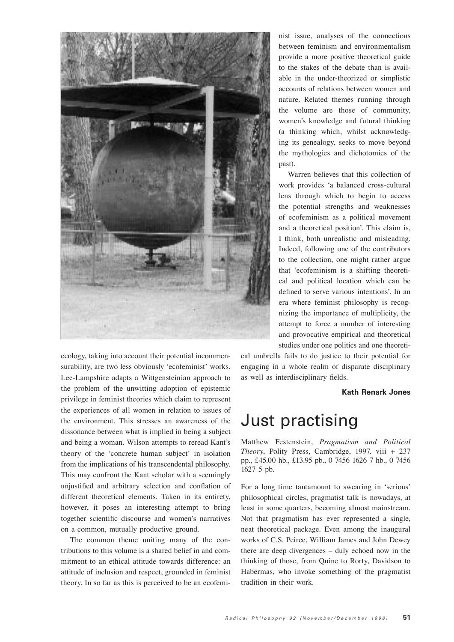

ecology, taking into account their potential incommensurability, are two less obviously ʻecofeminist' works. Lee-Lampshire adapts a Wittgensteinian approach to the problem of the unwitting adoption of epistemic privilege in feminist theories which claim to represent the experiences of all women in relation to issues of the environment. This stresses an awareness of the dissonance between what is implied in being a subject and being a woman. Wilson attempts to reread Kant's theory of the ʻconcrete human subject' in isolation from the implications of his transcendental philosophy. This may confront the Kant scholar with a seemingly unjustified and arbitrary selection and conflation of different theoretical elements. Taken in its entirety, however, it poses an interesting attempt to bring together scientific discourse and women's narratives on a common, mutually productive ground.

The common theme uniting many of the contributions to this volume is a shared belief in and commitment to an ethical attitude towards difference: an attitude of inclusion and respect, grounded in feminist theory. In so far as this is perceived to be an ecofeminist issue, analyses of the connections between feminism and environmentalism provide a more positive theoretical guide to the stakes of the debate than is available in the under-theorized or simplistic accounts of relations between women and nature. Related themes running through the volume are those of community, women's knowledge and futural thinking (a thinking which, whilst acknowledging its genealogy, seeks to move beyond the mythologies and dichotomies of the past).

Warren believes that this collection of work provides ʻa balanced cross-cultural lens through which to begin to access the potential strengths and weaknesses of ecofeminism as a political movement and a theoretical position'. This claim is, I think, both unrealistic and misleading. Indeed, following one of the contributors to the collection, one might rather argue that ʻecofeminism is a shifting theoretical and political location which can be defined to serve various intentions'. In an era where feminist philosophy is recognizing the importance of multiplicity, the attempt to force a number of interesting and provocative empirical and theoretical studies under one politics and one theoreti-

cal umbrella fails to do justice to their potential for engaging in a whole realm of disparate disciplinary as well as interdisciplinary fields.

### **Kath Renark Jones**

### Just practising

Matthew Festenstein, *Pragmatism and Political Theory*, Polity Press, Cambridge, 1997. viii + 237 pp., £45.00 hb., £13.95 pb., 0 7456 1626 7 hb., 0 7456 1627 5 pb.

For a long time tantamount to swearing in ʻserious' philosophical circles, pragmatist talk is nowadays, at least in some quarters, becoming almost mainstream. Not that pragmatism has ever represented a single, neat theoretical package. Even among the inaugural works of C.S. Peirce, William James and John Dewey there are deep divergences – duly echoed now in the thinking of those, from Quine to Rorty, Davidson to Habermas, who invoke something of the pragmatist tradition in their work.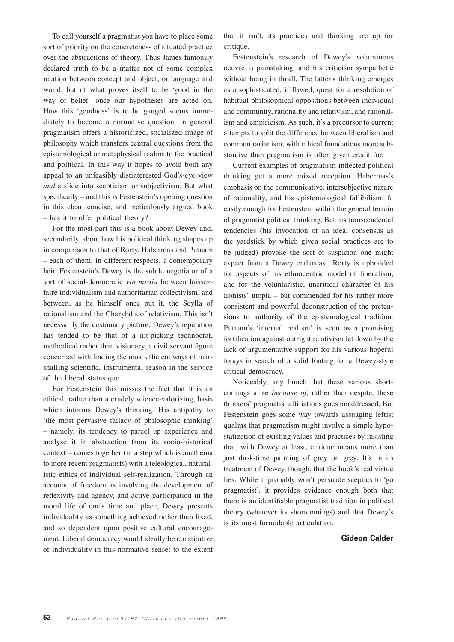To call yourself a pragmatist you have to place some sort of priority on the concreteness of situated practice over the abstractions of theory. Thus James famously declared truth to be a matter not of some complex relation between concept and object, or language and world, but of what proves itself to be ʻgood in the way of belief' once our hypotheses are acted on. How this ʻgoodness' is to be gauged seems immediately to become a normative question: in general pragmatism offers a historicized, socialized image of philosophy which transfers central questions from the epistemological or metaphysical realms to the practical and political. In this way it hopes to avoid both any appeal to an unfeasibly distinterested God's-eye view *and* a slide into scepticism or subjectivism. But what specifically – and this is Festenstein's opening question in this clear, concise, and meticulously argued book – has it to offer political theory?

For the most part this is a book about Dewey and, secondarily, about how his political thinking shapes up in comparison to that of Rorty, Habermas and Putnam – each of them, in different respects, a contemporary heir. Festenstein's Dewey is the subtle negotiator of a sort of social-democratic *via media* between laissezfaire individualism and authoritarian collectivism, and between, as he himself once put it, the Scylla of rationalism and the Charybdis of relativism. This isn't necessarily the customary picture; Dewey's reputation has tended to be that of a nit-picking technocrat, methodical rather than visionary, a civil servant figure concerned with finding the most efficient ways of marshalling scientific, instrumental reason in the service of the liberal status quo.

For Festenstein this misses the fact that it is an ethical, rather than a crudely science-valorizing, basis which informs Dewey's thinking. His antipathy to ʻthe most pervasive fallacy of philosophic thinking' – namely, its tendency to parcel up experience and analyse it in abstraction from its socio-historical context – comes together (in a step which is anathema to more recent pragmatists) with a teleological, naturalistic ethics of individual self-realization. Through an account of freedom as involving the development of reflexivity and agency, and active participation in the moral life of one's time and place, Dewey presents individuality as something achieved rather than fixed, and so dependent upon positive cultural encouragement. Liberal democracy would ideally be constitutive of individuality in this normative sense: to the extent

that it isn't, its practices and thinking are up for critique.

Festenstein's research of Dewey's voluminous oeuvre is painstaking, and his criticism sympathetic without being in thrall. The latter's thinking emerges as a sophisticated, if flawed, quest for a resolution of habitual philosophical oppositions between individual and community, rationality and relativism, and rationalism and empiricism. As such, it's a precursor to current attempts to split the difference between liberalism and communitarianism, with ethical foundations more substantive than pragmatism is often given credit for.

Current examples of pragmatism-inflected political thinking get a more mixed reception. Habermas's emphasis on the communicative, intersubjective nature of rationality, and his epistemological fallibilism, fit easily enough for Festenstein within the general terrain of pragmatist political thinking. But his transcendental tendencies (his invocation of an ideal consensus as the yardstick by which given social practices are to be judged) provoke the sort of suspicion one might expect from a Dewey enthusiast. Rorty is upbraided for aspects of his ethnocentric model of liberalism, and for the voluntaristic, uncritical character of his ironists' utopia – but commended for his rather more consistent and powerful deconstruction of the pretensions to authority of the epistemological tradition. Putnam's ʻinternal realism' is seen as a promising fortification against outright relativism let down by the lack of argumentative support for his various hopeful forays in search of a solid footing for a Dewey-style critical democracy.

Noticeably, any hunch that these various shortcomings arise *because of*, rather than despite, these thinkers' pragmatist affiliations goes unaddressed. But Festenstein goes some way towards assuaging leftist qualms that pragmatism might involve a simple hypostatization of existing values and practices by insisting that, with Dewey at least, critique means more than just dusk-time painting of grey on grey. It's in its treatment of Dewey, though, that the book's real virtue lies. While it probably won't persuade sceptics to ʻgo pragmatist', it provides evidence enough both that there is an identifiable pragmatist tradition in political theory (whatever its shortcomings) and that Dewey's is its most formidable articulation.

### **Gideon Calder**